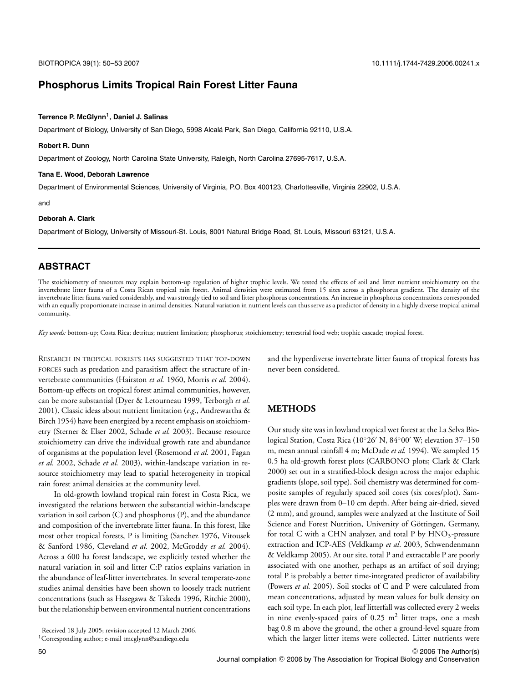# **Phosphorus Limits Tropical Rain Forest Litter Fauna**

#### **Terrence P. McGlynn**1**, Daniel J. Salinas**

Department of Biology, University of San Diego, 5998 Alcalá Park, San Diego, California 92110, U.S.A.

#### **Robert R. Dunn**

Department of Zoology, North Carolina State University, Raleigh, North Carolina 27695-7617, U.S.A.

#### **Tana E. Wood, Deborah Lawrence**

Department of Environmental Sciences, University of Virginia, P.O. Box 400123, Charlottesville, Virginia 22902, U.S.A.

and

### **Deborah A. Clark**

Department of Biology, University of Missouri-St. Louis, 8001 Natural Bridge Road, St. Louis, Missouri 63121, U.S.A.

# **ABSTRACT**

The stoichiometry of resources may explain bottom-up regulation of higher trophic levels. We tested the effects of soil and litter nutrient stoichiometry on the invertebrate litter fauna of a Costa Rican tropical rain forest. Animal densities were estimated from 15 sites across a phosphorus gradient. The density of the invertebrate litter fauna varied considerably, and was strongly tied to soil and litter phosphorus concentrations. An increase in phosphorus concentrations corresponded with an equally proportionate increase in animal densities. Natural variation in nutrient levels can thus serve as a predictor of density in a highly diverse tropical animal community.

*Key words:* bottom-up; Costa Rica; detritus; nutrient limitation; phosphorus; stoichiometry; terrestrial food web; trophic cascade; tropical forest.

RESEARCH IN TROPICAL FORESTS HAS SUGGESTED THAT TOP-DOWN FORCES such as predation and parasitism affect the structure of invertebrate communities (Hairston *et al.* 1960, Morris *et al.* 2004). Bottom-up effects on tropical forest animal communities, however, can be more substantial (Dyer & Letourneau 1999, Terborgh *et al.* 2001). Classic ideas about nutrient limitation (*e*.*g*., Andrewartha & Birch 1954) have been energized by a recent emphasis on stoichiometry (Sterner & Elser 2002, Schade *et al.* 2003). Because resource stoichiometry can drive the individual growth rate and abundance of organisms at the population level (Rosemond *et al.* 2001, Fagan *et al.* 2002, Schade *et al.* 2003), within-landscape variation in resource stoichiometry may lead to spatial heterogeneity in tropical rain forest animal densities at the community level.

In old-growth lowland tropical rain forest in Costa Rica, we investigated the relations between the substantial within-landscape variation in soil carbon (C) and phosphorus (P), and the abundance and composition of the invertebrate litter fauna. In this forest, like most other tropical forests, P is limiting (Sanchez 1976, Vitousek & Sanford 1986, Cleveland *et al.* 2002, McGroddy *et al.* 2004). Across a 600 ha forest landscape, we explicitly tested whether the natural variation in soil and litter C:P ratios explains variation in the abundance of leaf-litter invertebrates. In several temperate-zone studies animal densities have been shown to loosely track nutrient concentrations (such as Hasegawa & Takeda 1996, Ritchie 2000), but the relationship between environmental nutrient concentrations and the hyperdiverse invertebrate litter fauna of tropical forests has never been considered.

## **METHODS**

Our study site was in lowland tropical wet forest at the La Selva Biological Station, Costa Rica (10°26′ N, 84°00′ W; elevation 37–150 m, mean annual rainfall 4 m; McDade *et al.* 1994). We sampled 15 0.5 ha old-growth forest plots (CARBONO plots; Clark & Clark 2000) set out in a stratified-block design across the major edaphic gradients (slope, soil type). Soil chemistry was determined for composite samples of regularly spaced soil cores (six cores/plot). Samples were drawn from 0–10 cm depth. After being air-dried, sieved (2 mm), and ground, samples were analyzed at the Institute of Soil Science and Forest Nutrition, University of Göttingen, Germany, for total C with a CHN analyzer, and total P by  $HNO<sub>3</sub>$ -pressure extraction and ICP-AES (Veldkamp *et al*. 2003, Schwendenmann & Veldkamp 2005). At our site, total P and extractable P are poorly associated with one another, perhaps as an artifact of soil drying; total P is probably a better time-integrated predictor of availability (Powers *et al.* 2005). Soil stocks of C and P were calculated from mean concentrations, adjusted by mean values for bulk density on each soil type. In each plot, leaf litterfall was collected every 2 weeks in nine evenly-spaced pairs of  $0.25$  m<sup>2</sup> litter traps, one a mesh bag 0.8 m above the ground, the other a ground-level square from which the larger litter items were collected. Litter nutrients were

Received 18 July 2005; revision accepted 12 March 2006.

<sup>1</sup>Corresponding author; e-mail tmcglynn@sandiego.edu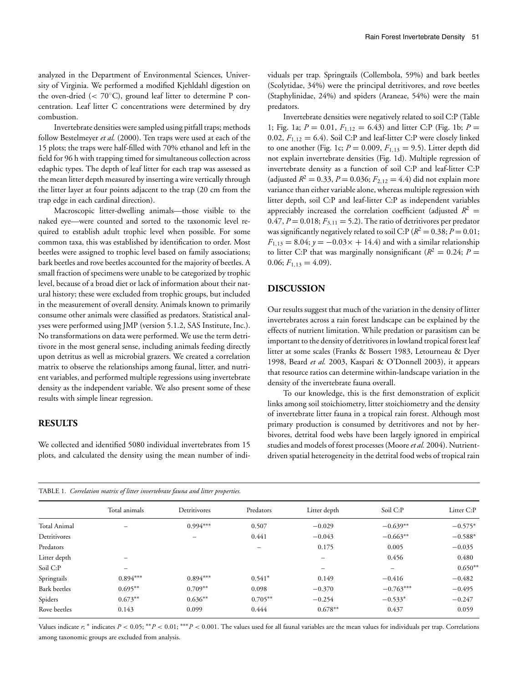analyzed in the Department of Environmental Sciences, University of Virginia. We performed a modified Kjehldahl digestion on the oven-dried (< 70◦C), ground leaf litter to determine P concentration. Leaf litter C concentrations were determined by dry combustion.

Invertebrate densities were sampled using pitfall traps; methods follow Bestelmeyer *et al.* (2000). Ten traps were used at each of the 15 plots; the traps were half-filled with 70% ethanol and left in the field for 96 h with trapping timed for simultaneous collection across edaphic types. The depth of leaf litter for each trap was assessed as the mean litter depth measured by inserting a wire vertically through the litter layer at four points adjacent to the trap (20 cm from the trap edge in each cardinal direction).

Macroscopic litter-dwelling animals—those visible to the naked eye—were counted and sorted to the taxonomic level required to establish adult trophic level when possible. For some common taxa, this was established by identification to order. Most beetles were assigned to trophic level based on family associations; bark beetles and rove beetles accounted for the majority of beetles. A small fraction of specimens were unable to be categorized by trophic level, because of a broad diet or lack of information about their natural history; these were excluded from trophic groups, but included in the measurement of overall density. Animals known to primarily consume other animals were classified as predators. Statistical analyses were performed using JMP (version 5.1.2, SAS Institute, Inc.). No transformations on data were performed. We use the term detritivore in the most general sense, including animals feeding directly upon detritus as well as microbial grazers. We created a correlation matrix to observe the relationships among faunal, litter, and nutrient variables, and performed multiple regressions using invertebrate density as the independent variable. We also present some of these results with simple linear regression.

#### **RESULTS**

We collected and identified 5080 individual invertebrates from 15 plots, and calculated the density using the mean number of individuals per trap. Springtails (Collembola, 59%) and bark beetles (Scolytidae, 34%) were the principal detritivores, and rove beetles (Staphylinidae, 24%) and spiders (Araneae, 54%) were the main predators.

Invertebrate densities were negatively related to soil C:P (Table 1; Fig. 1a;  $P = 0.01$ ,  $F_{1,12} = 6.43$ ) and litter C:P (Fig. 1b;  $P =$ 0.02,  $F_{1,12} = 6.4$ ). Soil C:P and leaf-litter C:P were closely linked to one another (Fig. 1c;  $P = 0.009$ ,  $F_{1,13} = 9.5$ ). Litter depth did not explain invertebrate densities (Fig. 1d). Multiple regression of invertebrate density as a function of soil C:P and leaf-litter C:P (adjusted  $R^2 = 0.33$ ,  $P = 0.036$ ;  $F_{2,12} = 4.4$ ) did not explain more variance than either variable alone, whereas multiple regression with litter depth, soil C:P and leaf-litter C:P as independent variables appreciably increased the correlation coefficient (adjusted  $R^2$  = 0.47,  $P = 0.018$ ;  $F_{3,11} = 5.2$ ). The ratio of detritivores per predator was significantly negatively related to soil C:P ( $R^2 = 0.38; P = 0.01;$  $F_{1,13} = 8.04$ ;  $y = -0.03 \times + 14.4$ ) and with a similar relationship to litter C:P that was marginally nonsignificant ( $R^2 = 0.24$ ;  $P =$ 0.06;  $F_{1,13} = 4.09$ ).

## **DISCUSSION**

Our results suggest that much of the variation in the density of litter invertebrates across a rain forest landscape can be explained by the effects of nutrient limitation. While predation or parasitism can be important to the density of detritivores in lowland tropical forest leaf litter at some scales (Franks & Bossert 1983, Letourneau & Dyer 1998, Beard *et al.* 2003, Kaspari & O'Donnell 2003), it appears that resource ratios can determine within-landscape variation in the density of the invertebrate fauna overall.

To our knowledge, this is the first demonstration of explicit links among soil stoichiometry, litter stoichiometry and the density of invertebrate litter fauna in a tropical rain forest. Although most primary production is consumed by detritivores and not by herbivores, detrital food webs have been largely ignored in empirical studies and models of forest processes (Moore*et al.* 2004). Nutrientdriven spatial heterogeneity in the detrital food webs of tropical rain

|                     | Total animals | Detritivores | Predators                | Litter depth             | Soil $C: P$       | Litter C:P |  |
|---------------------|---------------|--------------|--------------------------|--------------------------|-------------------|------------|--|
| <b>Total Animal</b> |               | $0.994***$   | 0.507                    | $-0.029$                 | $-0.639**$        | $-0.575*$  |  |
| Detritivores        |               |              | 0.441                    | $-0.043$                 | $-0.663**$        | $-0.588*$  |  |
| Predators           |               |              | $\overline{\phantom{0}}$ | 0.175                    | 0.005             | $-0.035$   |  |
| Litter depth        |               |              |                          | -                        | 0.456             | 0.480      |  |
| Soil C:P            | -             |              |                          | $\overline{\phantom{0}}$ | $\qquad \qquad -$ | $0.650**$  |  |
| Springtails         | $0.894***$    | $0.894***$   | $0.541*$                 | 0.149                    | $-0.416$          | $-0.482$   |  |
| Bark beetles        | $0.695**$     | $0.709**$    | 0.098                    | $-0.370$                 | $-0.763***$       | $-0.495$   |  |
| Spiders             | $0.673**$     | $0.636**$    | $0.705***$               | $-0.254$                 | $-0.533*$         | $-0.247$   |  |
| Rove beetles        | 0.143         | 0.099        | 0.444                    | $0.678**$                | 0.437             | 0.059      |  |
|                     |               |              |                          |                          |                   |            |  |

TABLE 1. *Correlation matrix of litter invertebrate fauna and litter properties.*

Values indicate  $r$ ;  $*$  indicates  $P < 0.05$ ;  $* P < 0.01$ ;  $* * P < 0.001$ . The values used for all faunal variables are the mean values for individuals per trap. Correlations among taxonomic groups are excluded from analysis.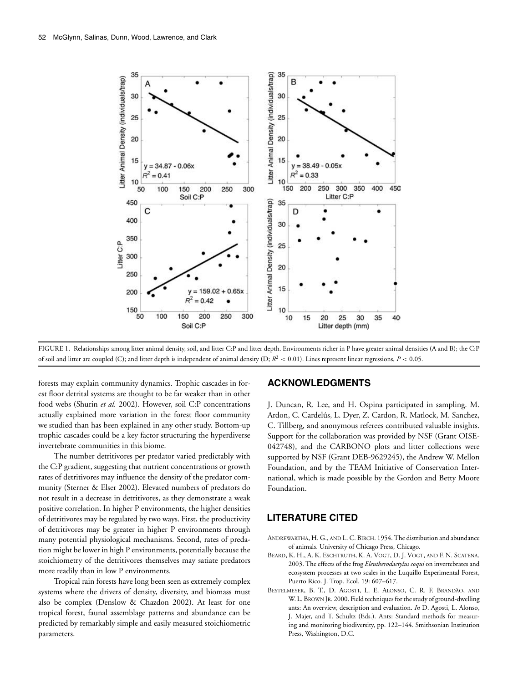

FIGURE 1. Relationships among litter animal density, soil, and litter C:P and litter depth. Environments richer in P have greater animal densities (A and B); the C:P of soil and litter are coupled (C); and litter depth is independent of animal density (D;  $R^2 < 0.01$ ). Lines represent linear regressions,  $P < 0.05$ .

forests may explain community dynamics. Trophic cascades in forest floor detrital systems are thought to be far weaker than in other food webs (Shurin *et al.* 2002). However, soil C:P concentrations actually explained more variation in the forest floor community we studied than has been explained in any other study. Bottom-up trophic cascades could be a key factor structuring the hyperdiverse invertebrate communities in this biome.

The number detritivores per predator varied predictably with the C:P gradient, suggesting that nutrient concentrations or growth rates of detritivores may influence the density of the predator community (Sterner & Elser 2002). Elevated numbers of predators do not result in a decrease in detritivores, as they demonstrate a weak positive correlation. In higher P environments, the higher densities of detritivores may be regulated by two ways. First, the productivity of detritivores may be greater in higher P environments through many potential physiological mechanisms. Second, rates of predation might be lower in high P environments, potentially because the stoichiometry of the detritivores themselves may satiate predators more readily than in low P environments.

Tropical rain forests have long been seen as extremely complex systems where the drivers of density, diversity, and biomass must also be complex (Denslow & Chazdon 2002). At least for one tropical forest, faunal assemblage patterns and abundance can be predicted by remarkably simple and easily measured stoichiometric parameters.

### **ACKNOWLEDGMENTS**

J. Duncan, R. Lee, and H. Ospina participated in sampling. M. Ardon, C. Cardelús, L. Dyer, Z. Cardon, R. Matlock, M. Sanchez, C. Tillberg, and anonymous referees contributed valuable insights. Support for the collaboration was provided by NSF (Grant OISE-042748), and the CARBONO plots and litter collections were supported by NSF (Grant DEB-9629245), the Andrew W. Mellon Foundation, and by the TEAM Initiative of Conservation International, which is made possible by the Gordon and Betty Moore Foundation.

## **LITERATURE CITED**

- ANDREWARTHA, H. G., AND L. C. BIRCH. 1954. The distribution and abundance of animals. University of Chicago Press, Chicago.
- BEARD, K. H., A. K. ESCHTRUTH, K. A. VOGT, D. J. VOGT, AND F. N. SCATENA. 2003. The effects of the frog *Eleutherodactylus coqui* on invertebrates and ecosystem processes at two scales in the Luquillo Experimental Forest, Puerto Rico. J. Trop. Ecol. 19: 607–617.
- BESTELMEYER, B. T., D. AGOSTI, L. E. ALONSO, C. R. F. BRANDÃO, AND W. L. BROWN JR. 2000. Field techniques for the study of ground-dwelling ants: An overview, description and evaluation. *In* D. Agosti, L. Alonso, J. Majer, and T. Schultz (Eds.). Ants: Standard methods for measuring and monitoring biodiversity, pp. 122–144. Smithsonian Institution Press, Washington, D.C.